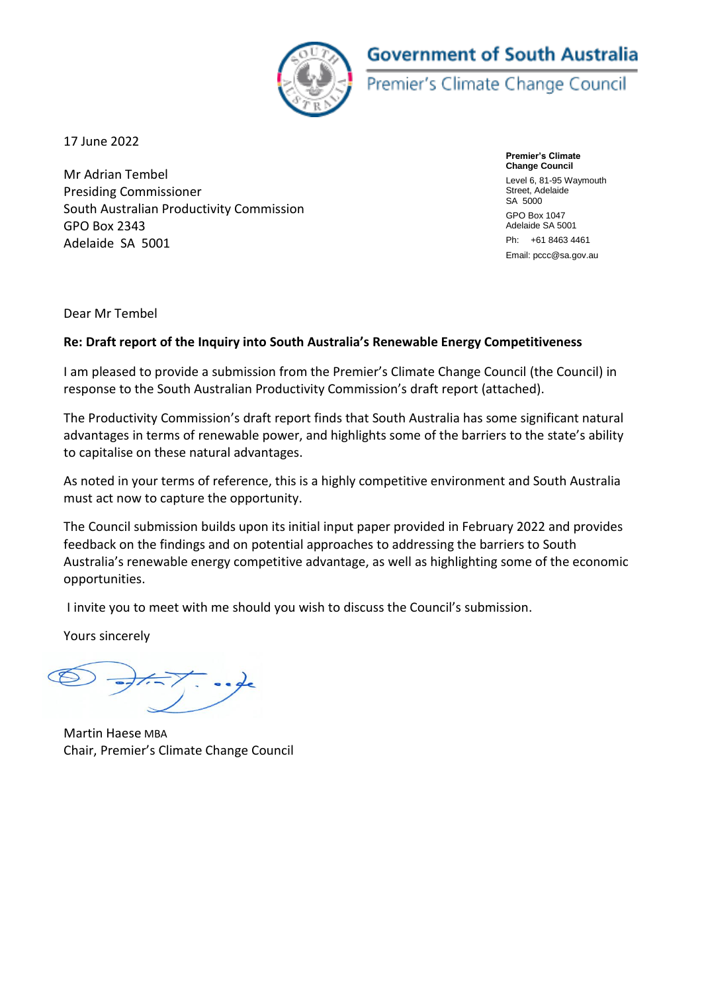# **Government of South Australia**



Premier's Climate Change Council

17 June 2022

Mr Adrian Tembel Presiding Commissioner South Australian Productivity Commission GPO Box 2343 Adelaide SA 5001

**Premier's Climate Change Council**  Level 6, 81-95 Waymouth Street, Adelaide SA 5000 GPO Box 1047 Adelaide SA 5001 Ph: +61 8463 4461 Email: pccc@sa.gov.au

Dear Mr Tembel

## **Re: Draft report of the Inquiry into South Australia's Renewable Energy Competitiveness**

I am pleased to provide a submission from the Premier's Climate Change Council (the Council) in response to the South Australian Productivity Commission's draft report (attached).

The Productivity Commission's draft report finds that South Australia has some significant natural advantages in terms of renewable power, and highlights some of the barriers to the state's ability to capitalise on these natural advantages.

As noted in your terms of reference, this is a highly competitive environment and South Australia must act now to capture the opportunity.

The Council submission builds upon its initial input paper provided in February 2022 and provides feedback on the findings and on potential approaches to addressing the barriers to South Australia's renewable energy competitive advantage, as well as highlighting some of the economic opportunities.

I invite you to meet with me should you wish to discuss the Council's submission.

Yours sincerely

Martin Haese MBA Chair, Premier's Climate Change Council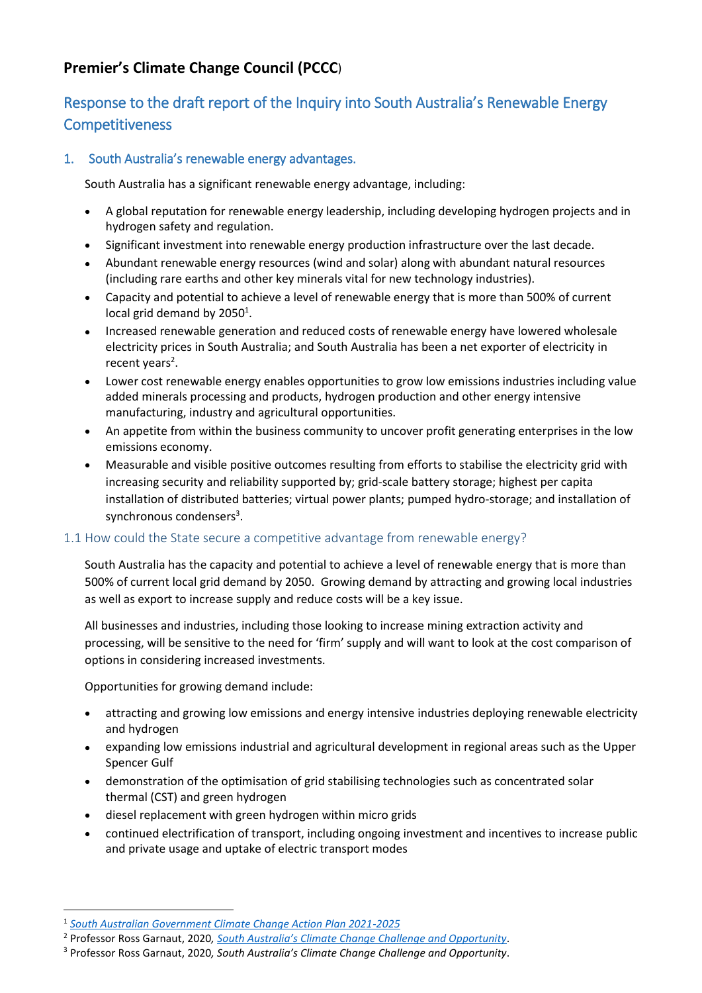## **Premier's Climate Change Council (PCCC**)

## Response to the draft report of the Inquiry into South Australia's Renewable Energy **Competitiveness**

## 1. South Australia's renewable energy advantages.

South Australia has a significant renewable energy advantage, including:

- A global reputation for renewable energy leadership, including developing hydrogen projects and in hydrogen safety and regulation.
- Significant investment into renewable energy production infrastructure over the last decade.
- Abundant renewable energy resources (wind and solar) along with abundant natural resources (including rare earths and other key minerals vital for new technology industries).
- Capacity and potential to achieve a level of renewable energy that is more than 500% of current local grid demand by  $2050<sup>1</sup>$ .
- Increased renewable generation and reduced costs of renewable energy have lowered wholesale electricity prices in South Australia; and South Australia has been a net exporter of electricity in recent years<sup>2</sup>.
- Lower cost renewable energy enables opportunities to grow low emissions industries including value added minerals processing and products, hydrogen production and other energy intensive manufacturing, industry and agricultural opportunities.
- An appetite from within the business community to uncover profit generating enterprises in the low emissions economy.
- Measurable and visible positive outcomes resulting from efforts to stabilise the electricity grid with increasing security and reliability supported by; grid-scale battery storage; highest per capita installation of distributed batteries; virtual power plants; pumped hydro-storage; and installation of synchronous condensers<sup>3</sup>.

#### 1.1 How could the State secure a competitive advantage from renewable energy?

South Australia has the capacity and potential to achieve a level of renewable energy that is more than 500% of current local grid demand by 2050. Growing demand by attracting and growing local industries as well as export to increase supply and reduce costs will be a key issue.

All businesses and industries, including those looking to increase mining extraction activity and processing, will be sensitive to the need for 'firm' supply and will want to look at the cost comparison of options in considering increased investments.

Opportunities for growing demand include:

- attracting and growing low emissions and energy intensive industries deploying renewable electricity and hydrogen
- expanding low emissions industrial and agricultural development in regional areas such as the Upper Spencer Gulf
- demonstration of the optimisation of grid stabilising technologies such as concentrated solar thermal (CST) and green hydrogen
- diesel replacement with green hydrogen within micro grids
- continued electrification of transport, including ongoing investment and incentives to increase public and private usage and uptake of electric transport modes

1

<sup>1</sup> *[South Australian Government Climate Change Action Plan 2021-2025](https://www.environment.sa.gov.au/topics/climate-change/climate-change-action-plan-2021-2025)*

<sup>2</sup> Professor Ross Garnaut, 2020*, [South Australia's Climate Change Challenge and Opportunity](https://cdn.environment.sa.gov.au/environment/docs/south-australias-climate-change-challenge-opportunity-rgarnaut-rep.pdf)*.

<sup>3</sup> Professor Ross Garnaut, 2020*, South Australia's Climate Change Challenge and Opportunity*.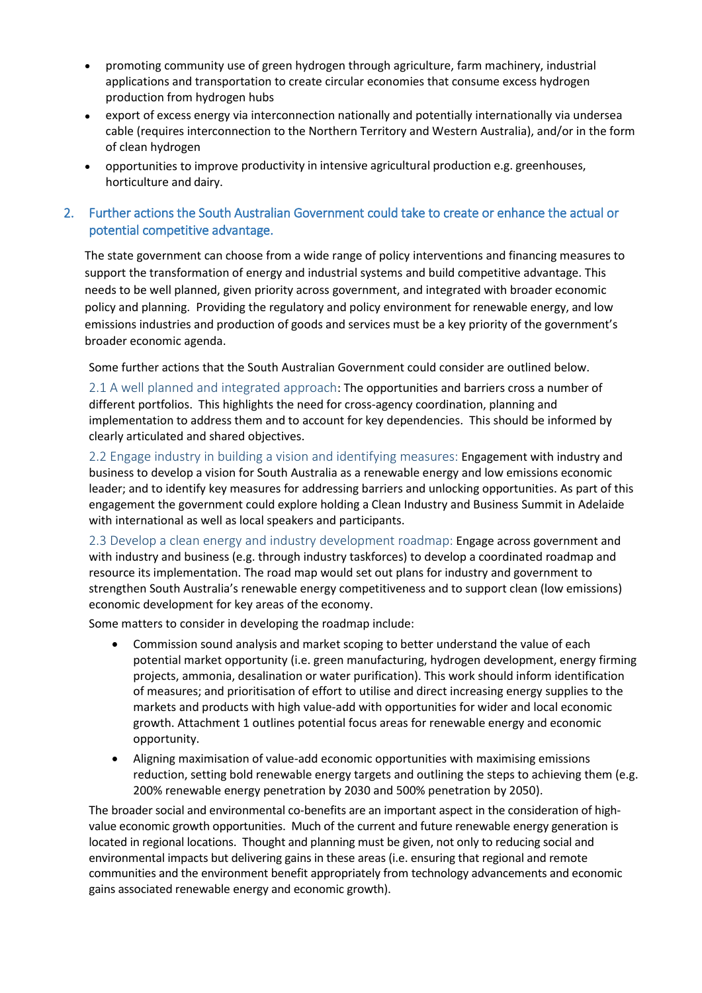- promoting community use of green hydrogen through agriculture, farm machinery, industrial applications and transportation to create circular economies that consume excess hydrogen production from hydrogen hubs
- export of excess energy via interconnection nationally and potentially internationally via undersea cable (requires interconnection to the Northern Territory and Western Australia), and/or in the form of clean hydrogen
- opportunities to improve productivity in intensive agricultural production e.g. greenhouses, horticulture and dairy.
- 2. Further actions the South Australian Government could take to create or enhance the actual or potential competitive advantage.

The state government can choose from a wide range of policy interventions and financing measures to support the transformation of energy and industrial systems and build competitive advantage. This needs to be well planned, given priority across government, and integrated with broader economic policy and planning. Providing the regulatory and policy environment for renewable energy, and low emissions industries and production of goods and services must be a key priority of the government's broader economic agenda.

Some further actions that the South Australian Government could consider are outlined below.

2.1 A well planned and integrated approach: The opportunities and barriers cross a number of different portfolios. This highlights the need for cross-agency coordination, planning and implementation to address them and to account for key dependencies. This should be informed by clearly articulated and shared objectives.

2.2 Engage industry in building a vision and identifying measures: Engagement with industry and business to develop a vision for South Australia as a renewable energy and low emissions economic leader; and to identify key measures for addressing barriers and unlocking opportunities. As part of this engagement the government could explore holding a Clean Industry and Business Summit in Adelaide with international as well as local speakers and participants.

2.3 Develop a clean energy and industry development roadmap: Engage across government and with industry and business (e.g. through industry taskforces) to develop a coordinated roadmap and resource its implementation. The road map would set out plans for industry and government to strengthen South Australia's renewable energy competitiveness and to support clean (low emissions) economic development for key areas of the economy.

Some matters to consider in developing the roadmap include:

- Commission sound analysis and market scoping to better understand the value of each potential market opportunity (i.e. green manufacturing, hydrogen development, energy firming projects, ammonia, desalination or water purification). This work should inform identification of measures; and prioritisation of effort to utilise and direct increasing energy supplies to the markets and products with high value-add with opportunities for wider and local economic growth. Attachment 1 outlines potential focus areas for renewable energy and economic opportunity.
- Aligning maximisation of value-add economic opportunities with maximising emissions reduction, setting bold renewable energy targets and outlining the steps to achieving them (e.g. 200% renewable energy penetration by 2030 and 500% penetration by 2050).

The broader social and environmental co-benefits are an important aspect in the consideration of highvalue economic growth opportunities. Much of the current and future renewable energy generation is located in regional locations. Thought and planning must be given, not only to reducing social and environmental impacts but delivering gains in these areas (i.e. ensuring that regional and remote communities and the environment benefit appropriately from technology advancements and economic gains associated renewable energy and economic growth).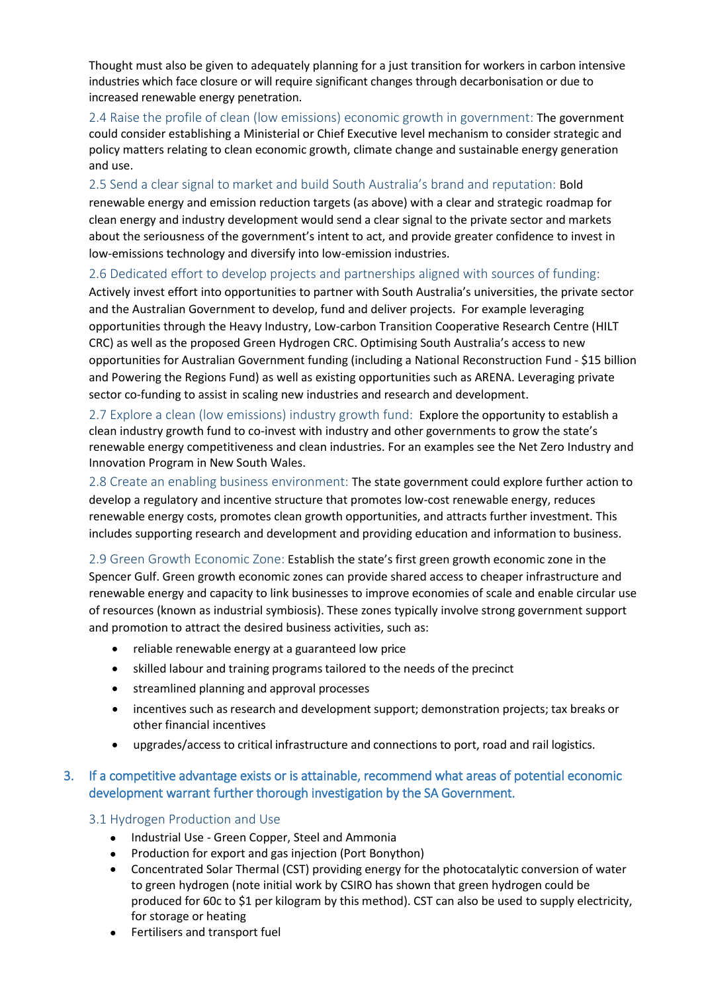Thought must also be given to adequately planning for a just transition for workers in carbon intensive industries which face closure or will require significant changes through decarbonisation or due to increased renewable energy penetration.

2.4 Raise the profile of clean (low emissions) economic growth in government: The government could consider establishing a Ministerial or Chief Executive level mechanism to consider strategic and policy matters relating to clean economic growth, climate change and sustainable energy generation and use.

2.5 Send a clear signal to market and build South Australia's brand and reputation: Bold renewable energy and emission reduction targets (as above) with a clear and strategic roadmap for clean energy and industry development would send a clear signal to the private sector and markets about the seriousness of the government's intent to act, and provide greater confidence to invest in low-emissions technology and diversify into low-emission industries.

#### 2.6 Dedicated effort to develop projects and partnerships aligned with sources of funding:

Actively invest effort into opportunities to partner with South Australia's universities, the private sector and the Australian Government to develop, fund and deliver projects. For example leveraging opportunities through the Heavy Industry, Low-carbon Transition Cooperative Research Centre (HILT CRC) as well as the proposed Green Hydrogen CRC. Optimising South Australia's access to new opportunities for Australian Government funding (including [a National Reconstruction Fund](https://www.alp.org.au/policies/powering-australia) - \$15 billion an[d Powering the Regions Fund\)](https://www.alp.org.au/policies/powering-australia) as well as existing opportunities such as ARENA. Leveraging private sector co-funding to assist in scaling new industries and research and development.

2.7 Explore a clean (low emissions) industry growth fund: Explore the opportunity to establish a clean industry growth fund to co-invest with industry and other governments to grow the state's renewable energy competitiveness and clean industries. For an examples see the Net Zero Industry and Innovation Program in New South Wales.

2.8 Create an enabling business environment: The state government could explore further action to develop a regulatory and incentive structure that promotes low-cost renewable energy, reduces renewable energy costs, promotes clean growth opportunities, and attracts further investment. This includes supporting research and development and providing education and information to business.

2.9 Green Growth Economic Zone: Establish the state's first green growth economic zone in the Spencer Gulf. Green growth economic zones can provide shared access to cheaper infrastructure and renewable energy and capacity to link businesses to improve economies of scale and enable circular use of resources (known as industrial symbiosis). These zones typically involve strong government support and promotion to attract the desired business activities, such as:

- reliable renewable energy at a guaranteed low price
- skilled labour and training programs tailored to the needs of the precinct
- streamlined planning and approval processes
- incentives such as research and development support; demonstration projects; tax breaks or other financial incentives
- upgrades/access to critical infrastructure and connections to port, road and rail logistics.

## 3. If a competitive advantage exists or is attainable, recommend what areas of potential economic development warrant further thorough investigation by the SA Government.

#### 3.1 Hydrogen Production and Use

- Industrial Use Green Copper, Steel and Ammonia
- Production for export and gas injection (Port Bonython)
- Concentrated Solar Thermal (CST) providing energy for the photocatalytic conversion of water to green hydrogen (note initial work by CSIRO has shown that green hydrogen could be produced for 60c to \$1 per kilogram by this method). CST can also be used to supply electricity, for storage or heating
- Fertilisers and transport fuel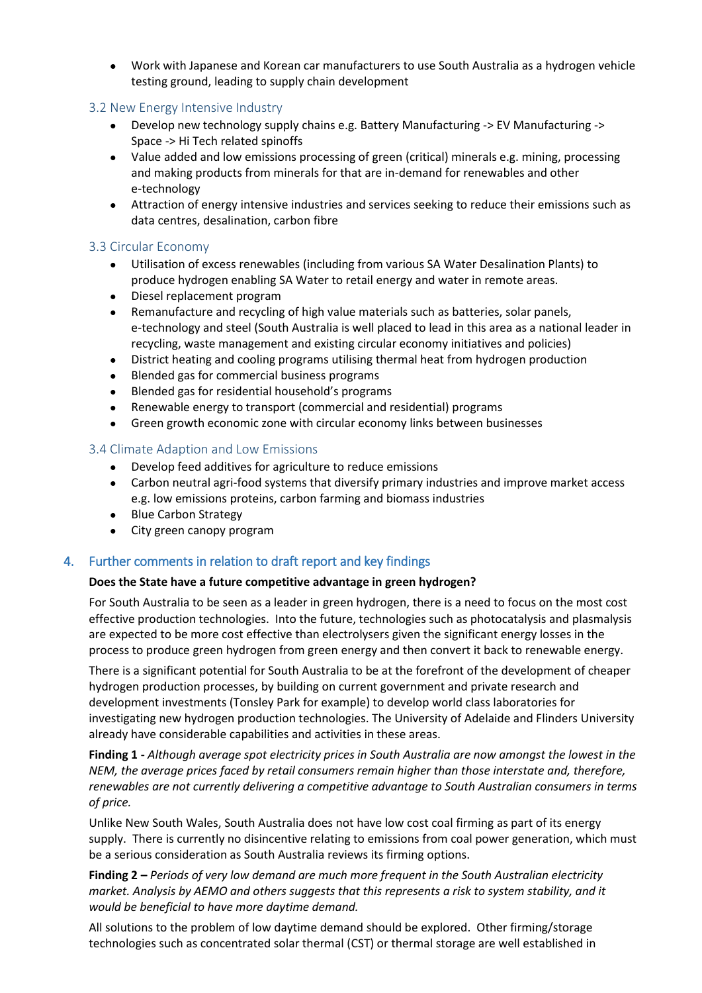Work with Japanese and Korean car manufacturers to use South Australia as a hydrogen vehicle testing ground, leading to supply chain development

#### 3.2 New Energy Intensive Industry

- Develop new technology supply chains e.g. Battery Manufacturing -> EV Manufacturing -> Space -> Hi Tech related spinoffs
- Value added and low emissions processing of green (critical) minerals e.g. mining, processing and making products from minerals for that are in-demand for renewables and other e-technology
- Attraction of energy intensive industries and services seeking to reduce their emissions such as data centres, desalination, carbon fibre

#### 3.3 Circular Economy

- Utilisation of excess renewables (including from various SA Water Desalination Plants) to produce hydrogen enabling SA Water to retail energy and water in remote areas.
- Diesel replacement program
- Remanufacture and recycling of high value materials such as batteries, solar panels, e-technology and steel (South Australia is well placed to lead in this area as a national leader in recycling, waste management and existing circular economy initiatives and policies)
- District heating and cooling programs utilising thermal heat from hydrogen production
- Blended gas for commercial business programs
- Blended gas for residential household's programs
- Renewable energy to transport (commercial and residential) programs
- Green growth economic zone with circular economy links between businesses

## 3.4 Climate Adaption and Low Emissions

- Develop feed additives for agriculture to reduce emissions
- Carbon neutral agri-food systems that diversify primary industries and improve market access e.g. low emissions proteins, carbon farming and biomass industries
- Blue Carbon Strategy
- City green canopy program

## 4. Further comments in relation to draft report and key findings

#### **Does the State have a future competitive advantage in green hydrogen?**

For South Australia to be seen as a leader in green hydrogen, there is a need to focus on the most cost effective production technologies. Into the future, technologies such as photocatalysis and plasmalysis are expected to be more cost effective than electrolysers given the significant energy losses in the process to produce green hydrogen from green energy and then convert it back to renewable energy.

There is a significant potential for South Australia to be at the forefront of the development of cheaper hydrogen production processes, by building on current government and private research and development investments (Tonsley Park for example) to develop world class laboratories for investigating new hydrogen production technologies. The University of Adelaide and Flinders University already have considerable capabilities and activities in these areas.

**Finding 1 -** *Although average spot electricity prices in South Australia are now amongst the lowest in the NEM, the average prices faced by retail consumers remain higher than those interstate and, therefore, renewables are not currently delivering a competitive advantage to South Australian consumers in terms of price.*

Unlike New South Wales, South Australia does not have low cost coal firming as part of its energy supply. There is currently no disincentive relating to emissions from coal power generation, which must be a serious consideration as South Australia reviews its firming options.

**Finding 2 –** *Periods of very low demand are much more frequent in the South Australian electricity market. Analysis by AEMO and others suggests that this represents a risk to system stability, and it would be beneficial to have more daytime demand.*

All solutions to the problem of low daytime demand should be explored. Other firming/storage technologies such as concentrated solar thermal (CST) or thermal storage are well established in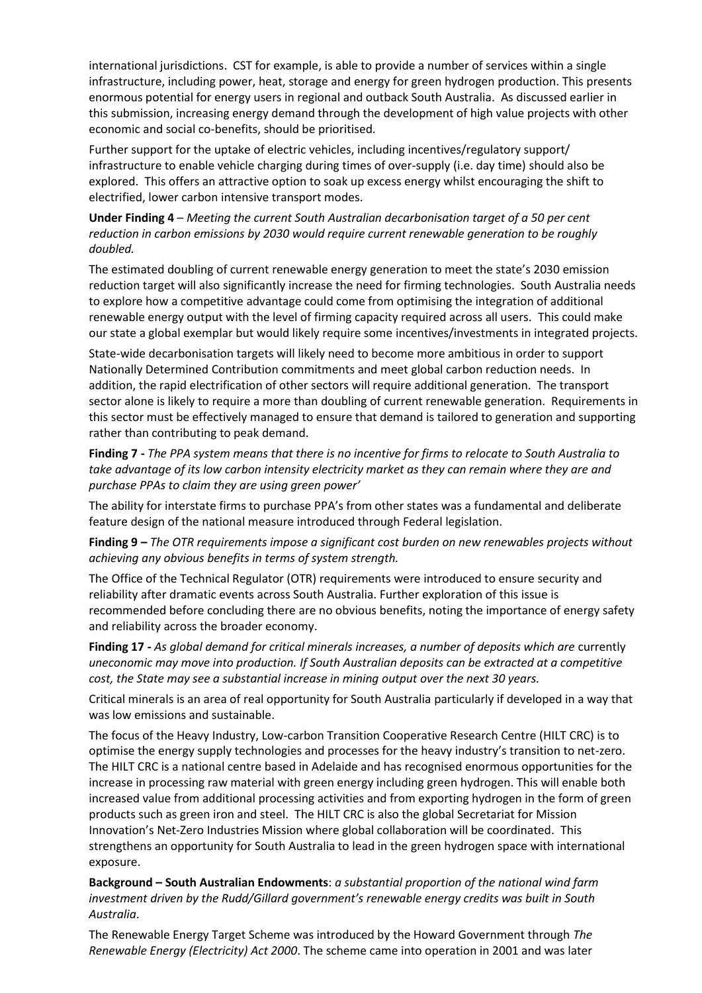international jurisdictions. CST for example, is able to provide a number of services within a single infrastructure, including power, heat, storage and energy for green hydrogen production. This presents enormous potential for energy users in regional and outback South Australia. As discussed earlier in this submission, increasing energy demand through the development of high value projects with other economic and social co-benefits, should be prioritised.

Further support for the uptake of electric vehicles, including incentives/regulatory support/ infrastructure to enable vehicle charging during times of over-supply (i.e. day time) should also be explored. This offers an attractive option to soak up excess energy whilst encouraging the shift to electrified, lower carbon intensive transport modes.

**Under Finding 4** – *Meeting the current South Australian decarbonisation target of a 50 per cent reduction in carbon emissions by 2030 would require current renewable generation to be roughly doubled.*

The estimated doubling of current renewable energy generation to meet the state's 2030 emission reduction target will also significantly increase the need for firming technologies. South Australia needs to explore how a competitive advantage could come from optimising the integration of additional renewable energy output with the level of firming capacity required across all users. This could make our state a global exemplar but would likely require some incentives/investments in integrated projects.

State-wide decarbonisation targets will likely need to become more ambitious in order to support Nationally Determined Contribution commitments and meet global carbon reduction needs. In addition, the rapid electrification of other sectors will require additional generation. The transport sector alone is likely to require a more than doubling of current renewable generation. Requirements in this sector must be effectively managed to ensure that demand is tailored to generation and supporting rather than contributing to peak demand.

**Finding 7 -** *The PPA system means that there is no incentive for firms to relocate to South Australia to take advantage of its low carbon intensity electricity market as they can remain where they are and purchase PPAs to claim they are using green power'*

The ability for interstate firms to purchase PPA's from other states was a fundamental and deliberate feature design of the national measure introduced through Federal legislation.

**Finding 9 –** *The OTR requirements impose a significant cost burden on new renewables projects without achieving any obvious benefits in terms of system strength.*

The Office of the Technical Regulator (OTR) requirements were introduced to ensure security and reliability after dramatic events across South Australia. Further exploration of this issue is recommended before concluding there are no obvious benefits, noting the importance of energy safety and reliability across the broader economy.

**Finding 17 -** *As global demand for critical minerals increases, a number of deposits which are* currently *uneconomic may move into production. If South Australian deposits can be extracted at a competitive cost, the State may see a substantial increase in mining output over the next 30 years.*

Critical minerals is an area of real opportunity for South Australia particularly if developed in a way that was low emissions and sustainable.

The focus of the Heavy Industry, Low-carbon Transition Cooperative Research Centre (HILT CRC) is to optimise the energy supply technologies and processes for the heavy industry's transition to net-zero. The HILT CRC is a national centre based in Adelaide and has recognised enormous opportunities for the increase in processing raw material with green energy including green hydrogen. This will enable both increased value from additional processing activities and from exporting hydrogen in the form of green products such as green iron and steel. The HILT CRC is also the global Secretariat for Mission Innovation's Net-Zero Industries Mission where global collaboration will be coordinated. This strengthens an opportunity for South Australia to lead in the green hydrogen space with international exposure.

**Background – South Australian Endowments**: *a substantial proportion of the national wind farm investment driven by the Rudd/Gillard government's renewable energy credits was built in South Australia*.

The Renewable Energy Target Scheme was introduced by the Howard Government through *The Renewable Energy (Electricity) Act 2000*. The scheme came into operation in 2001 and was later